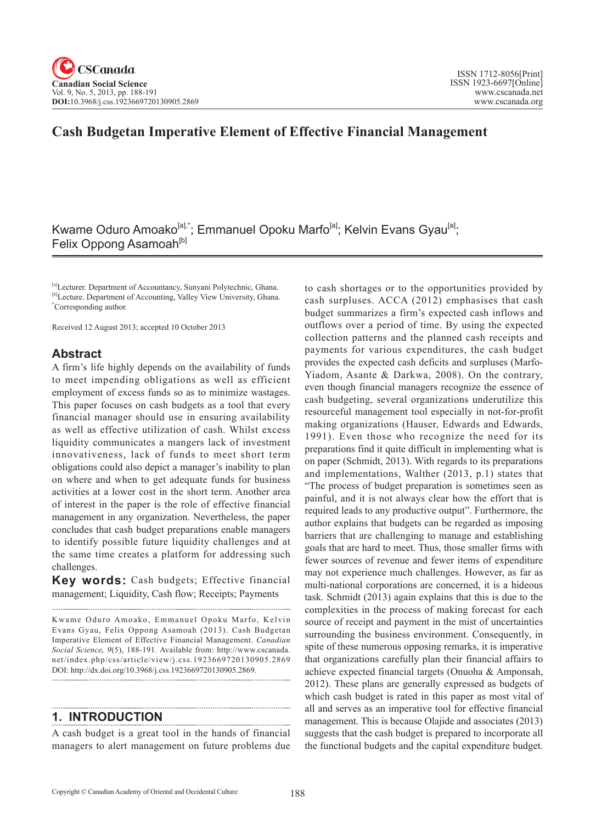# **Cash Budgetan Imperative Element of Effective Financial Management**

Kwame Oduro Amoako<sup>[a],\*</sup>; Emmanuel Opoku Marfo<sup>[a]</sup>; Kelvin Evans Gyau<sup>[a]</sup>; Felix Oppong Asamoah<sup>[b]</sup>

[a]Lecturer. Department of Accountancy, Sunyani Polytechnic, Ghana. <sup>[b]</sup>Lecture. Department of Accounting, Valley View University, Ghana. \* Corresponding author.

Received 12 August 2013; accepted 10 October 2013

### **Abstract**

A firm's life highly depends on the availability of funds to meet impending obligations as well as efficient employment of excess funds so as to minimize wastages. This paper focuses on cash budgets as a tool that every financial manager should use in ensuring availability as well as effective utilization of cash. Whilst excess liquidity communicates a mangers lack of investment innovativeness, lack of funds to meet short term obligations could also depict a manager's inability to plan on where and when to get adequate funds for business activities at a lower cost in the short term. Another area of interest in the paper is the role of effective financial management in any organization. Nevertheless, the paper concludes that cash budget preparations enable managers to identify possible future liquidity challenges and at the same time creates a platform for addressing such challenges.

**Key words:** Cash budgets; Effective financial management; Liquidity, Cash flow; Receipts; Payments

Kwame Oduro Amoako, Emmanuel Opoku Marfo, Kelvin Evans Gyau, Felix Oppong Asamoah (2013). Cash Budgetan Imperative Element of Effective Financial Management. *Canadian Social Science*, <sup>9</sup>(5), 188-191. Available from: http://www.cscanada. net/index.php/css/article/view/j.css.1923669720130905.2869 DOI: http://dx.doi.org/10.3968/j.css.1923669720130905.2869. 

#### **1. INTRODUCTION**

A cash budget is a great tool in the hands of financial managers to alert management on future problems due to cash shortages or to the opportunities provided by cash surpluses. ACCA (2012) emphasises that cash budget summarizes a firm's expected cash inflows and outflows over a period of time. By using the expected collection patterns and the planned cash receipts and payments for various expenditures, the cash budget provides the expected cash deficits and surpluses (Marfo-Yiadom, Asante & Darkwa, 2008). On the contrary, even though financial managers recognize the essence of cash budgeting, several organizations underutilize this resourceful management tool especially in not-for-profit making organizations (Hauser, Edwards and Edwards, 1991). Even those who recognize the need for its preparations find it quite difficult in implementing what is on paper (Schmidt, 2013). With regards to its preparations and implementations, Walther (2013, p.1) states that "The process of budget preparation is sometimes seen as painful, and it is not always clear how the effort that is required leads to any productive output". Furthermore, the author explains that budgets can be regarded as imposing barriers that are challenging to manage and establishing goals that are hard to meet. Thus, those smaller firms with fewer sources of revenue and fewer items of expenditure may not experience much challenges. However, as far as multi-national corporations are concerned, it is a hideous task. Schmidt (2013) again explains that this is due to the complexities in the process of making forecast for each source of receipt and payment in the mist of uncertainties surrounding the business environment. Consequently, in spite of these numerous opposing remarks, it is imperative that organizations carefully plan their financial affairs to achieve expected financial targets (Onuoha & Amponsah, 2012). These plans are generally expressed as budgets of which cash budget is rated in this paper as most vital of all and serves as an imperative tool for effective financial management. This is because Olajide and associates (2013) suggests that the cash budget is prepared to incorporate all the functional budgets and the capital expenditure budget.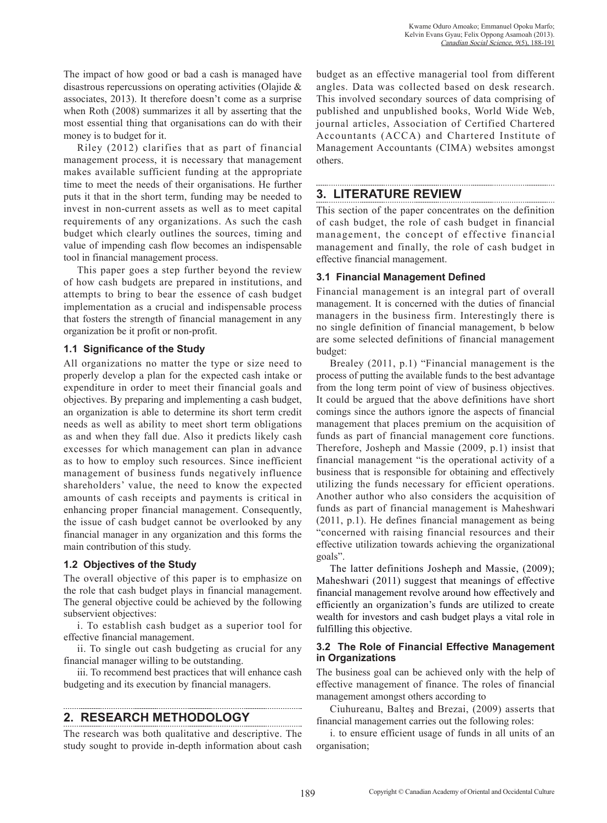The impact of how good or bad a cash is managed have disastrous repercussions on operating activities (Olajide & associates, 2013). It therefore doesn't come as a surprise when Roth (2008) summarizes it all by asserting that the most essential thing that organisations can do with their money is to budget for it.

Riley (2012) clarifies that as part of financial management process, it is necessary that management makes available sufficient funding at the appropriate time to meet the needs of their organisations. He further puts it that in the short term, funding may be needed to invest in non-current assets as well as to meet capital requirements of any organizations. As such the cash budget which clearly outlines the sources, timing and value of impending cash flow becomes an indispensable tool in financial management process.

This paper goes a step further beyond the review of how cash budgets are prepared in institutions, and attempts to bring to bear the essence of cash budget implementation as a crucial and indispensable process that fosters the strength of financial management in any organization be it profit or non-profit.

#### **1.1 Significance of the Study**

All organizations no matter the type or size need to properly develop a plan for the expected cash intake or expenditure in order to meet their financial goals and objectives. By preparing and implementing a cash budget, an organization is able to determine its short term credit needs as well as ability to meet short term obligations as and when they fall due. Also it predicts likely cash excesses for which management can plan in advance as to how to employ such resources. Since inefficient management of business funds negatively influence shareholders' value, the need to know the expected amounts of cash receipts and payments is critical in enhancing proper financial management. Consequently, the issue of cash budget cannot be overlooked by any financial manager in any organization and this forms the main contribution of this study.

#### **1.2 Objectives of the Study**

The overall objective of this paper is to emphasize on the role that cash budget plays in financial management. The general objective could be achieved by the following subservient objectives:

i. To establish cash budget as a superior tool for effective financial management.

ii. To single out cash budgeting as crucial for any financial manager willing to be outstanding.

iii. To recommend best practices that will enhance cash budgeting and its execution by financial managers.

### **2. RESEARCH METHODOLOGY**

The research was both qualitative and descriptive. The study sought to provide in-depth information about cash budget as an effective managerial tool from different angles. Data was collected based on desk research. This involved secondary sources of data comprising of published and unpublished books, World Wide Web, journal articles, Association of Certified Chartered Accountants (ACCA) and Chartered Institute of Management Accountants (CIMA) websites amongst others.

# **3. LITERATURE REVIEW**

This section of the paper concentrates on the definition of cash budget, the role of cash budget in financial management, the concept of effective financial management and finally, the role of cash budget in effective financial management.

#### **3.1 Financial Management Defined**

Financial management is an integral part of overall management. It is concerned with the duties of financial managers in the business firm. Interestingly there is no single definition of financial management, b below are some selected definitions of financial management budget:

Brealey (2011, p.1) "Financial management is the process of putting the available funds to the best advantage from the long term point of view of business objectives. It could be argued that the above definitions have short comings since the authors ignore the aspects of financial management that places premium on the acquisition of funds as part of financial management core functions. Therefore, Josheph and Massie (2009, p.1) insist that financial management "is the operational activity of a business that is responsible for obtaining and effectively utilizing the funds necessary for efficient operations. Another author who also considers the acquisition of funds as part of financial management is Maheshwari (2011, p.1). He defines financial management as being "concerned with raising financial resources and their effective utilization towards achieving the organizational goals".

The latter definitions Josheph and Massie, (2009); Maheshwari (2011) suggest that meanings of effective financial management revolve around how effectively and efficiently an organization's funds are utilized to create wealth for investors and cash budget plays a vital role in fulfilling this objective.

#### **3.2 The Role of Financial Effective Management in Organizations**

The business goal can be achieved only with the help of effective management of finance. The roles of financial management amongst others according to

Ciuhureanu, Balteş and Brezai, (2009) asserts that financial management carries out the following roles:

i. to ensure efficient usage of funds in all units of an organisation;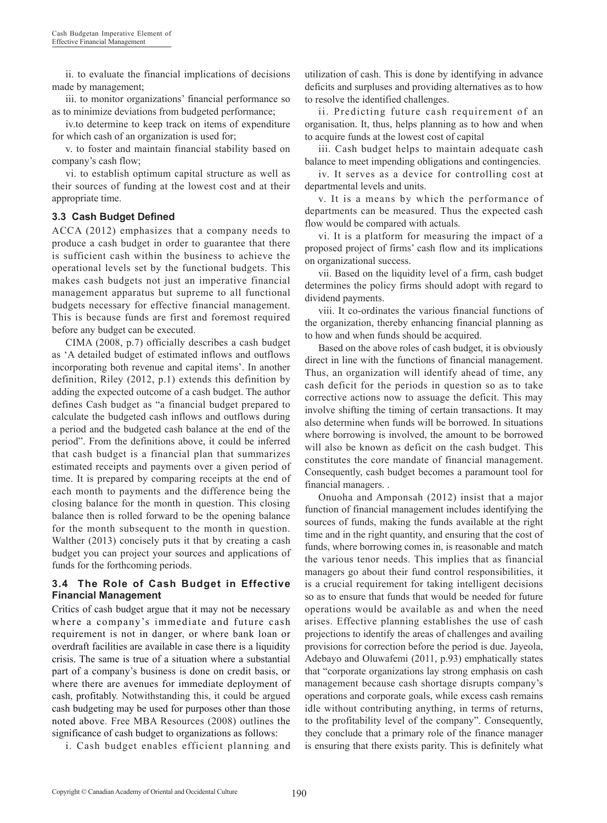ii. to evaluate the financial implications of decisions made by management;

iii. to monitor organizations' financial performance so as to minimize deviations from budgeted performance;

iv.to determine to keep track on items of expenditure for which cash of an organization is used for;

v. to foster and maintain financial stability based on company's cash flow;

vi. to establish optimum capital structure as well as their sources of funding at the lowest cost and at their appropriate time.

#### **3.3 Cash Budget Defined**

ACCA (2012) emphasizes that a company needs to produce a cash budget in order to guarantee that there is sufficient cash within the business to achieve the operational levels set by the functional budgets. This makes cash budgets not just an imperative financial management apparatus but supreme to all functional budgets necessary for effective financial management. This is because funds are first and foremost required before any budget can be executed.

CIMA (2008, p.7) officially describes a cash budget as 'A detailed budget of estimated inflows and outflows incorporating both revenue and capital items'. In another definition, Riley (2012, p.1) extends this definition by adding the expected outcome of a cash budget. The author defines Cash budget as "a financial budget prepared to calculate the budgeted cash inflows and outflows during a period and the budgeted cash balance at the end of the period". From the definitions above, it could be inferred that cash budget is a financial plan that summarizes estimated receipts and payments over a given period of time. It is prepared by comparing receipts at the end of each month to payments and the difference being the closing balance for the month in question. This closing balance then is rolled forward to be the opening balance for the month subsequent to the month in question. Walther (2013) concisely puts it that by creating a cash budget you can project your sources and applications of funds for the forthcoming periods.

#### **3.4 The Role of Cash Budget in Effective Financial Management**

Critics of cash budget argue that it may not be necessary where a company's immediate and future cash requirement is not in danger, or where bank loan or overdraft facilities are available in case there is a liquidity crisis. The same is true of a situation where a substantial part of a company's business is done on credit basis, or where there are avenues for immediate deployment of cash, profitably. Notwithstanding this, it could be argued cash budgeting may be used for purposes other than those noted above. Free MBA Resources (2008) outlines the significance of cash budget to organizations as follows:

i. Cash budget enables efficient planning and

utilization of cash. This is done by identifying in advance deficits and surpluses and providing alternatives as to how to resolve the identified challenges.

ii. Predicting future cash requirement of an organisation. It, thus, helps planning as to how and when to acquire funds at the lowest cost of capital

iii. Cash budget helps to maintain adequate cash balance to meet impending obligations and contingencies.

iv. It serves as a device for controlling cost at departmental levels and units.

v. It is a means by which the performance of departments can be measured. Thus the expected cash flow would be compared with actuals.

vi. It is a platform for measuring the impact of a proposed project of firms' cash flow and its implications on organizational success.

vii. Based on the liquidity level of a firm, cash budget determines the policy firms should adopt with regard to dividend payments.

viii. It co-ordinates the various financial functions of the organization, thereby enhancing financial planning as to how and when funds should be acquired.

Based on the above roles of cash budget, it is obviously direct in line with the functions of financial management. Thus, an organization will identify ahead of time, any cash deficit for the periods in question so as to take corrective actions now to assuage the deficit. This may involve shifting the timing of certain transactions. It may also determine when funds will be borrowed. In situations where borrowing is involved, the amount to be borrowed will also be known as deficit on the cash budget. This constitutes the core mandate of financial management. Consequently, cash budget becomes a paramount tool for financial managers. .

Onuoha and Amponsah (2012) insist that a major function of financial management includes identifying the sources of funds, making the funds available at the right time and in the right quantity, and ensuring that the cost of funds, where borrowing comes in, is reasonable and match the various tenor needs. This implies that as financial managers go about their fund control responsibilities, it is a crucial requirement for taking intelligent decisions so as to ensure that funds that would be needed for future operations would be available as and when the need arises. Effective planning establishes the use of cash projections to identify the areas of challenges and availing provisions for correction before the period is due. Jayeola, Adebayo and Oluwafemi (2011, p.93) emphatically states that "corporate organizations lay strong emphasis on cash management because cash shortage disrupts company's operations and corporate goals, while excess cash remains idle without contributing anything, in terms of returns, to the profitability level of the company". Consequently, they conclude that a primary role of the finance manager is ensuring that there exists parity. This is definitely what